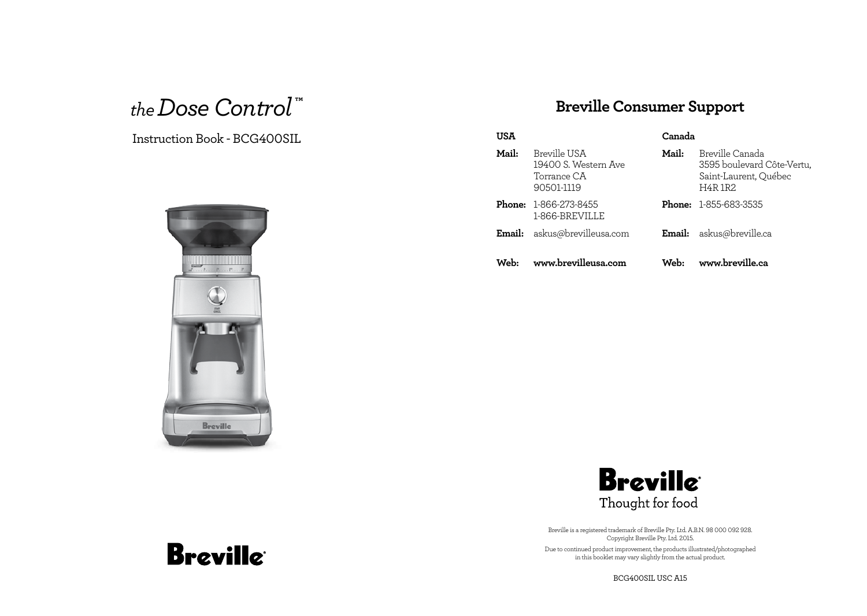## *the Dose Control* **™**

### Instruction Book - BCG400SIL



## **Breville Consumer Support**

| USA    |                                                                   | Canada |                                                                                         |
|--------|-------------------------------------------------------------------|--------|-----------------------------------------------------------------------------------------|
| Mail:  | Breville USA<br>19400 S. Western Ave<br>Torrance CA<br>90501-1119 | Mail:  | Breville Canada<br>3595 boulevard Côte-Vertu,<br>Saint-Laurent, Québec<br><b>H4R1R2</b> |
|        | <b>Phone: 1-866-273-8455</b><br>1-866-BREVILLE                    |        | <b>Phone: 1-855-683-3535</b>                                                            |
| Email: | askus@brevilleusa.com                                             | Email: | askus@breville.ca                                                                       |
| Web:   | www.brevilleusa.com                                               | Web:   | www.breville.ca                                                                         |



Breville is a registered trademark of Breville Pty. Ltd. A.B.N. 98 000 092 928. Copyright Breville Pty. Ltd. 2015. Due to continued product improvement, the products illustrated/photographed in this booklet may vary slightly from the actual product.

BCG400SIL USC A15

# **Breville**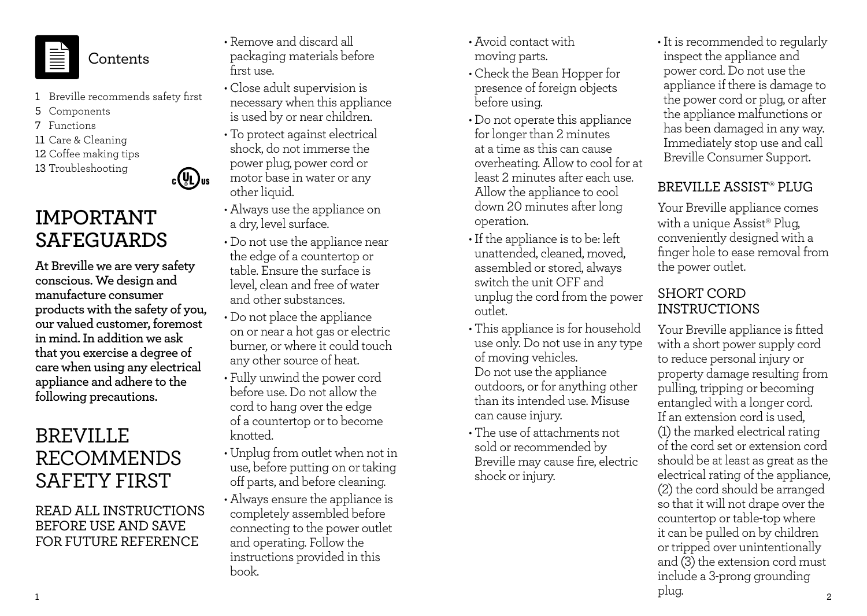

**Contents** 

1 Breville recommends safety first

 $c(U_L)$ us

- 5 Components
- 7 Functions
- 11 Care & Cleaning
- 12 Coffee making tips
- 13 Troubleshooting

## **IMPORTANT SAFEGUARDS**

**At Breville we are very safety conscious. We design and manufacture consumer products with the safety of you, our valued customer, foremost in mind. In addition we ask that you exercise a degree of care when using any electrical appliance and adhere to the following precautions.**

## BREVILLE RECOMMENDS SAFETY FIRST

### READ ALL INSTRUCTIONS BEFORE USE AND SAVE FOR FUTURE REFERENCE

- Remove and discard all packaging materials before first use.
- Close adult supervision is necessary when this appliance is used by or near children.
- To protect against electrical shock, do not immerse the power plug, power cord or motor base in water or any other liquid.
- Always use the appliance on a dry, level surface.
- Do not use the appliance near the edge of a countertop or table. Ensure the surface is level, clean and free of water and other substances.
- Do not place the appliance on or near a hot gas or electric burner, or where it could touch any other source of heat.
- Fully unwind the power cord before use. Do not allow the cord to hang over the edge of a countertop or to become knotted.
- Unplug from outlet when not in use, before putting on or taking off parts, and before cleaning.
- Always ensure the appliance is completely assembled before connecting to the power outlet and operating. Follow the instructions provided in this book.
- Avoid contact with moving parts.
- Check the Bean Hopper for presence of foreign objects before using.
- Do not operate this appliance for longer than 2 minutes at a time as this can cause overheating. Allow to cool for at least 2 minutes after each use. Allow the appliance to cool down 20 minutes after long operation.
- •If the appliance is to be: left unattended, cleaned, moved, assembled or stored, always switch the unit OFF and unplug the cord from the power outlet.
- This appliance is for household use only. Do not use in any type of moving vehicles. Do not use the appliance outdoors, or for anything other than its intended use. Misuse can cause injury.
- The use of attachments not sold or recommended by Breville may cause fire, electric shock or injury.

•It is recommended to regularly inspect the appliance and power cord. Do not use the appliance if there is damage to the power cord or plug, or after the appliance malfunctions or has been damaged in any way. Immediately stop use and call Breville Consumer Support.

## BREVILLE ASSIST® PLUG

Your Breville appliance comes with a unique Assist® Plug, conveniently designed with a finger hole to ease removal from the power outlet.

### SHORT CORD INSTRUCTIONS

 $1$ Your Breville appliance is fitted with a short power supply cord to reduce personal injury or property damage resulting from pulling, tripping or becoming entangled with a longer cord. If an extension cord is used, (1) the marked electrical rating of the cord set or extension cord should be at least as great as the electrical rating of the appliance, (2) the cord should be arranged so that it will not drape over the countertop or table-top where it can be pulled on by children or tripped over unintentionally and (3) the extension cord must include a 3-prong grounding plug.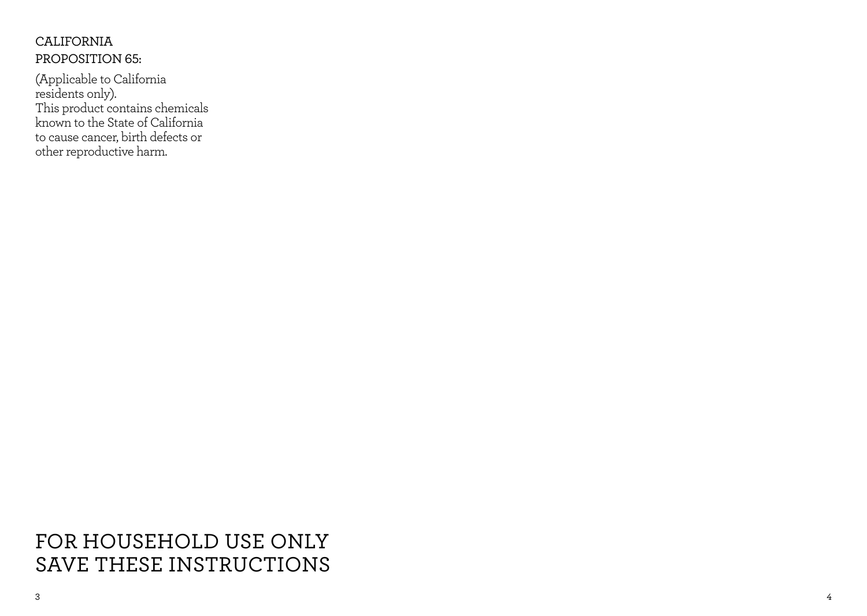## CALIFORNIA PROPOSITION 65:

(Applicable to California residents only). This product contains chemicals known to the State of California to cause cancer, birth defects or other reproductive harm.

FOR HOUSEHOLD USE ONLY SAVE THESE INSTRUCTIONS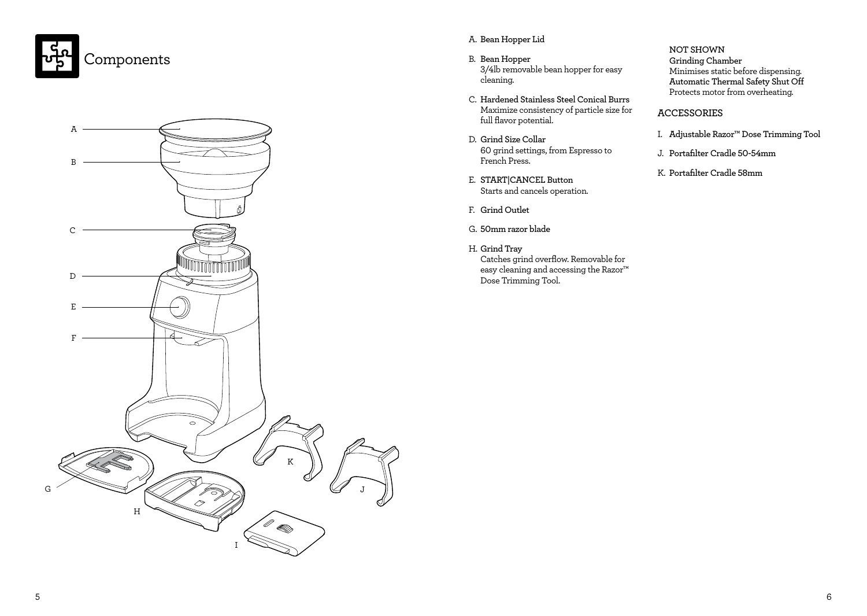



### A. **Bean Hopper Lid**

- B. **Bean Hopper** 3/4lb removable bean hopper for easy cleaning.
- C. **Hardened Stainless Steel Conical Burrs** Maximize consistency of particle size for full flavor potential.
- D. **Grind Size Collar** 60 grind settings, from Espresso to French Press.
- E. **START|CANCEL Button** Starts and cancels operation.
- F. **Grind Outlet**
- G. **50mm razor blade**
- H. **Grind Tray** Catches grind overflow. Removable for easy cleaning and accessing the Razor™ Dose Trimming Tool.

**NOT SHOWN Grinding Chamber** Minimises static before dispensing. **Automatic Thermal Safety Shut Off** Protects motor from overheating.

### **ACCESSORIES**

- I. **Adjustable Razor™ Dose Trimming Tool**
- J. **Portafilter Cradle 50-54mm**
- K. **Portafilter Cradle 58mm**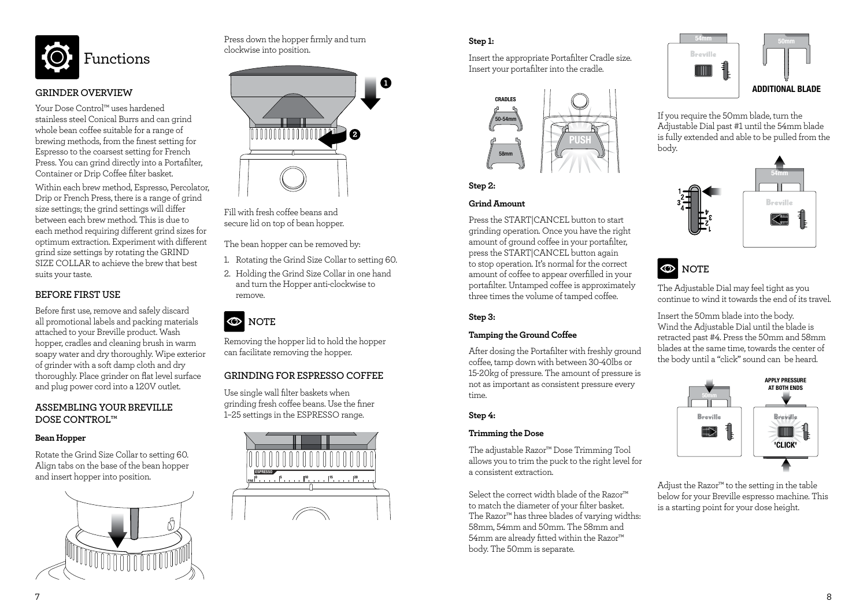

### **GRINDER OVERVIEW**

Your Dose Control™ uses hardened stainless steel Conical Burrs and can grind whole bean coffee suitable for a range of brewing methods, from the finest setting for Espresso to the coarsest setting for French Press. You can grind directly into a Portafilter, Container or Drip Coffee filter basket.

Within each brew method, Espresso, Percolator, Drip or French Press, there is a range of grind size settings; the grind settings will differ between each brew method. This is due to each method requiring different grind sizes for optimum extraction. Experiment with different grind size settings by rotating the GRIND SIZE COLLAR to achieve the brew that best suits your taste.

### **BEFORE FIRST USE**

Before first use, remove and safely discard all promotional labels and packing materials attached to your Breville product. Wash hopper, cradles and cleaning brush in warm soapy water and dry thoroughly. Wipe exterior of grinder with a soft damp cloth and dry thoroughly. Place grinder on flat level surface and plug power cord into a 120V outlet.

### **ASSEMBLING YOUR BREVILLE DOSE CONTROL™**

### **Bean Hopper**

Rotate the Grind Size Collar to setting 60. Align tabs on the base of the bean hopper and insert hopper into position.



Press down the hopper firmly and turn clockwise into position.



Fill with fresh coffee beans and secure lid on top of bean hopper.

The bean hopper can be removed by:

- 1. Rotating the Grind Size Collar to setting 60.
- 2. Holding the Grind Size Collar in one hand and turn the Hopper anti-clockwise to remove.

## **CO** NOTE

Removing the hopper lid to hold the hopper can facilitate removing the hopper.

### **GRINDING FOR ESPRESSO COFFEE**

Use single wall filter baskets when grinding fresh coffee beans. Use the finer 1–25 settings in the ESPRESSO range.



### **Step 1:**

Insert the appropriate Portafilter Cradle size. Insert your portafilter into the cradle.





### **Grind Amount**

Press the START|CANCEL button to start grinding operation. Once you have the right amount of ground coffee in your portafilter, press the START|CANCEL button again to stop operation. It's normal for the correct amount of coffee to appear overfilled in your portafilter. Untamped coffee is approximately three times the volume of tamped coffee.

### **Step 3:**

### **Tamping the Ground Coffee**

After dosing the Portafilter with freshly ground coffee, tamp down with between 30-40lbs or 15-20kg of pressure. The amount of pressure is not as important as consistent pressure every time.

#### **Step 4:**

### **Trimming the Dose**

The adjustable Razor™ Dose Trimming Tool allows you to trim the puck to the right level for a consistent extraction.

Select the correct width blade of the Razor™ to match the diameter of your filter basket. The Razor™ has three blades of varying widths: 58mm, 54mm and 50mm. The 58mm and 54mm are already fitted within the Razor™ body. The 50mm is separate.



If you require the 50mm blade, turn the Adjustable Dial past #1 until the 54mm blade is fully extended and able to be pulled from the body.





The Adjustable Dial may feel tight as you continue to wind it towards the end of its travel.

Insert the 50mm blade into the body. Wind the Adjustable Dial until the blade is retracted past #4. Press the 50mm and 58mm blades at the same time, towards the center of the body until a "click" sound can be heard.



Adjust the Razor™ to the setting in the table below for your Breville espresso machine. This is a starting point for your dose height.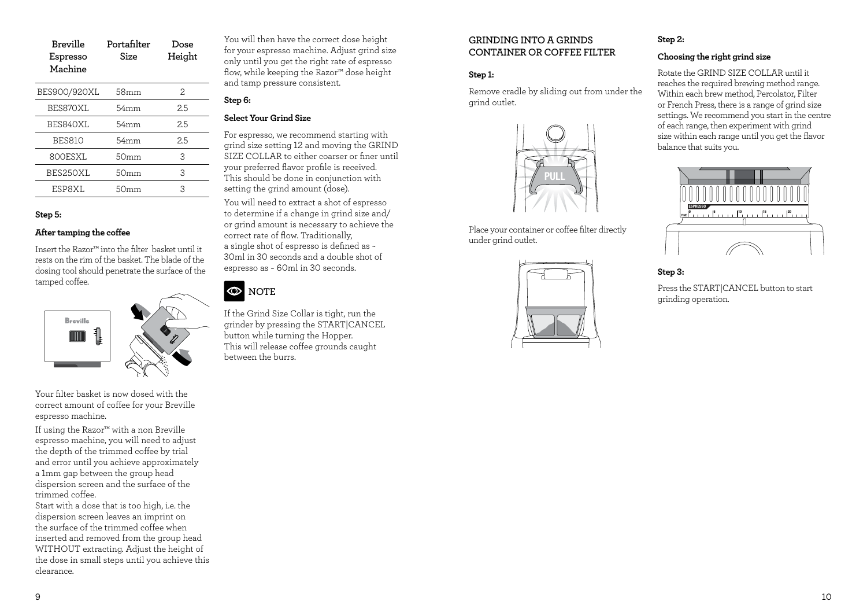| Breville | Portafilter | Dose   |
|----------|-------------|--------|
| Espresso | Size        | Height |
| Machine  |             |        |

| BES900/920XL  | 58mm             | 2   |
|---------------|------------------|-----|
| BES870XL      | 54mm             | 2.5 |
| BES840XL      | 54mm             | 2.5 |
| <b>BES810</b> | 54mm             | 2.5 |
| 800ESXL       | 50 <sub>mm</sub> | З   |
| BES250XL      | 50 <sub>mm</sub> | 3   |
| ESP8XL        | .)mm             |     |

### **Step 5:**

#### **After tamping the coffee**

Insert the Razor™ into the filter basket until it rests on the rim of the basket. The blade of the dosing tool should penetrate the surface of the tamped coffee.



Your filter basket is now dosed with the correct amount of coffee for your Breville espresso machine.

If using the Razor™ with a non Breville espresso machine, you will need to adjust the depth of the trimmed coffee by trial and error until you achieve approximately a 1mm gap between the group head dispersion screen and the surface of the trimmed coffee.

Start with a dose that is too high, i.e. the dispersion screen leaves an imprint on the surface of the trimmed coffee when inserted and removed from the group head WITHOUT extracting. Adjust the height of the dose in small steps until you achieve this clearance.

You will then have the correct dose height for your espresso machine. Adjust grind size only until you get the right rate of espresso flow, while keeping the Razor™ dose height and tamp pressure consistent.

#### **Step 6:**

### **Select Your Grind Size**

For espresso, we recommend starting with grind size setting 12 and moving the GRIND SIZE COLLAR to either coarser or finer until your preferred flavor profile is received. This should be done in conjunction with setting the grind amount (dose).

You will need to extract a shot of espresso to determine if a change in grind size and/ or grind amount is necessary to achieve the correct rate of flow. Traditionally, a single shot of espresso is defined as ~ 30ml in 30 seconds and a double shot of espresso as ~ 60ml in 30 seconds.

### **O**NOTE

If the Grind Size Collar is tight, run the grinder by pressing the START|CANCEL button while turning the Hopper. This will release coffee grounds caught between the burrs.

### **GRINDING INTO A GRINDS CONTAINER OR COFFEE FILTER**

### **Step 1:**

Remove cradle by sliding out from under the grind outlet.



Place your container or coffee filter directly under grind outlet.



### **Step 2:**

### **Choosing the right grind size**

Rotate the GRIND SIZE COLLAR until it reaches the required brewing method range. Within each brew method, Percolator, Filter or French Press, there is a range of grind size settings. We recommend you start in the centre of each range, then experiment with grind size within each range until you get the flavor balance that suits you.



### **Step 3:**

Press the START|CANCEL button to start grinding operation.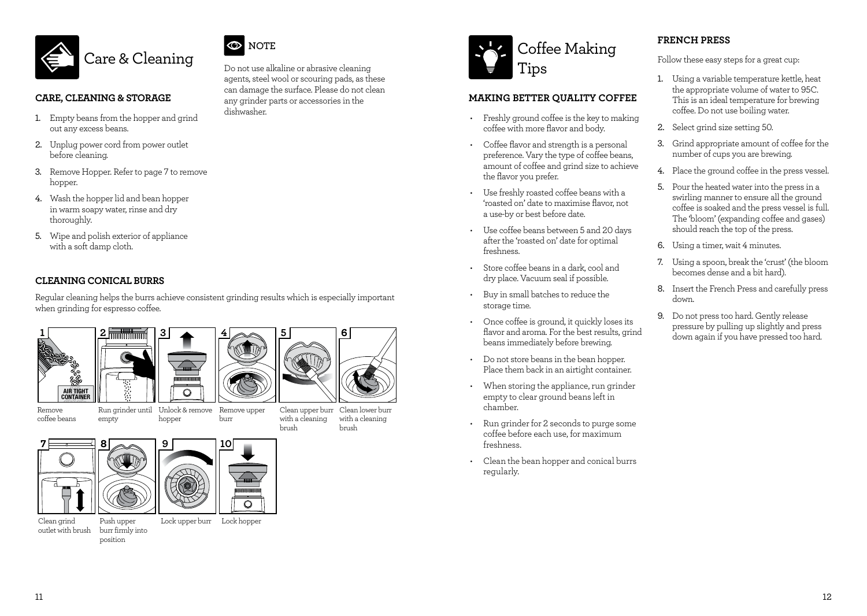



dishwasher.

Do not use alkaline or abrasive cleaning agents, steel wool or scouring pads, as these can damage the surface. Please do not clean any grinder parts or accessories in the

#### **CARE, CLEANING & STORAGE**

- 1. Empty beans from the hopper and grind out any excess beans.
- 2. Unplug power cord from power outlet before cleaning.
- 3. Remove Hopper. Refer to page 7 to remove hopper.
- 4. Wash the hopper lid and bean hopper in warm soapy water, rinse and dry thoroughly.
- 5. Wipe and polish exterior of appliance with a soft damp cloth.

### **CLEANING CONICAL BURRS**

Regular cleaning helps the burrs achieve consistent grinding results which is especially important when grinding for espresso coffee.

Lock upper burr Lock hopper



Remove coffee beans

**7 8**

Clean grind outlet with brush

empty

Push upper burr firmly into position



**9**

burr brush **10**

Clean lower burr Clean upper burr with a cleaning brush with a cleaning



### **MAKING BETTER QUALITY COFFEE**

- Freshly ground coffee is the key to making coffee with more flavor and body.
- Coffee flavor and strength is a personal preference. Vary the type of coffee beans, amount of coffee and grind size to achieve the flavor you prefer.
- Use freshly roasted coffee beans with a 'roasted on' date to maximise flavor, not a use-by or best before date.
- Use coffee beans between 5 and 20 days after the 'roasted on' date for optimal freshness.
- Store coffee beans in a dark, cool and dry place. Vacuum seal if possible.
- Buy in small batches to reduce the storage time.
- Once coffee is ground, it quickly loses its flavor and aroma. For the best results, grind beans immediately before brewing.
- Do not store beans in the bean hopper. Place them back in an airtight container.
- When storing the appliance, run grinder empty to clear ground beans left in chamber.
- Run grinder for 2 seconds to purge some coffee before each use, for maximum freshness.
- Clean the bean hopper and conical burrs regularly.

### **FRENCH PRESS**

Follow these easy steps for a great cup:

- 1. Using a variable temperature kettle, heat the appropriate volume of water to 95C. This is an ideal temperature for brewing coffee. Do not use boiling water.
- 2. Select grind size setting 50.
- 3. Grind appropriate amount of coffee for the number of cups you are brewing.
- 4. Place the ground coffee in the press vessel.
- 5. Pour the heated water into the press in a swirling manner to ensure all the ground coffee is soaked and the press vessel is full. The 'bloom' (expanding coffee and gases) should reach the top of the press.
- 6. Using a timer, wait 4 minutes.
- 7. Using a spoon, break the 'crust' (the bloom becomes dense and a bit hard).
- 8. Insert the French Press and carefully press down.
- 9. Do not press too hard. Gently release pressure by pulling up slightly and press down again if you have pressed too hard.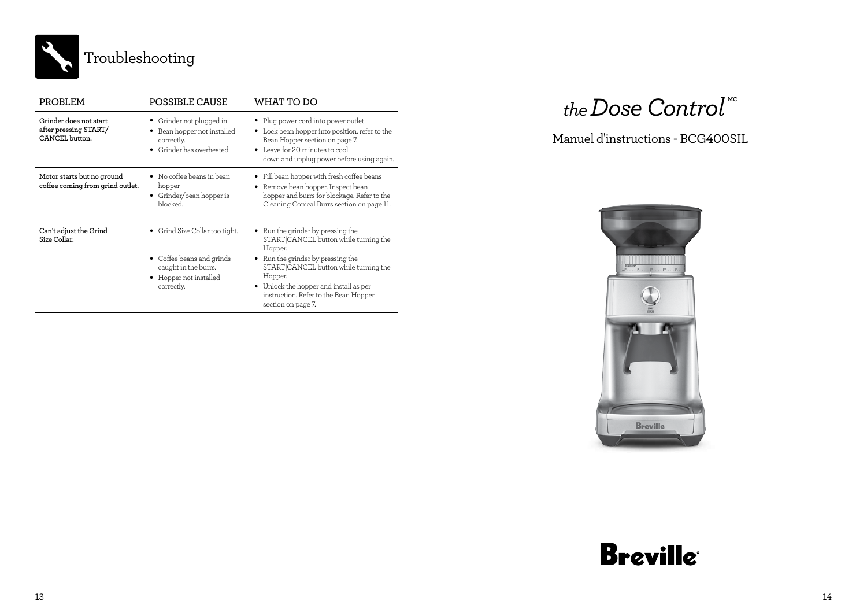

| PROBLEM                                                           | POSSIBLE CAUSE                                                                                                            | WHAT TO DO                                                                                                                                                                                                                                                                               |
|-------------------------------------------------------------------|---------------------------------------------------------------------------------------------------------------------------|------------------------------------------------------------------------------------------------------------------------------------------------------------------------------------------------------------------------------------------------------------------------------------------|
| Grinder does not start<br>after pressing START/<br>CANCEL button. | Grinder not plugged in<br>Bean hopper not installed<br>٠<br>correctly.<br>Grinder has overheated.<br>$\bullet$            | • Plug power cord into power outlet<br>• Lock bean hopper into position. refer to the<br>Bean Hopper section on page 7.<br>• Leave for 20 minutes to cool<br>down and unplug power before using again.                                                                                   |
| Motor starts but no ground<br>coffee coming from grind outlet.    | No coffee beans in bean<br>hopper<br>Grinder/bean hopper is<br>٠<br>hlocked                                               | Fill bean hopper with fresh coffee beans<br>Remove bean hopper. Inspect bean<br>hopper and burrs for blockage. Refer to the<br>Cleaning Conical Burrs section on page 11.                                                                                                                |
| Can't adjust the Grind<br>Size Collar.                            | • Grind Size Collar too tight.<br>• Coffee beans and grinds<br>caught in the burrs.<br>Hopper not installed<br>correctly. | Run the grinder by pressing the<br>START CANCEL button while turning the<br>Hopper.<br>• Run the grinder by pressing the<br>START CANCEL button while turning the<br>Hopper.<br>Unlock the hopper and install as per<br>٠<br>instruction. Refer to the Bean Hopper<br>section on page 7. |

## $the$  Dose Control<sup>"</sup>

### Manuel d'instructions - BCG400SIL



# **Breville**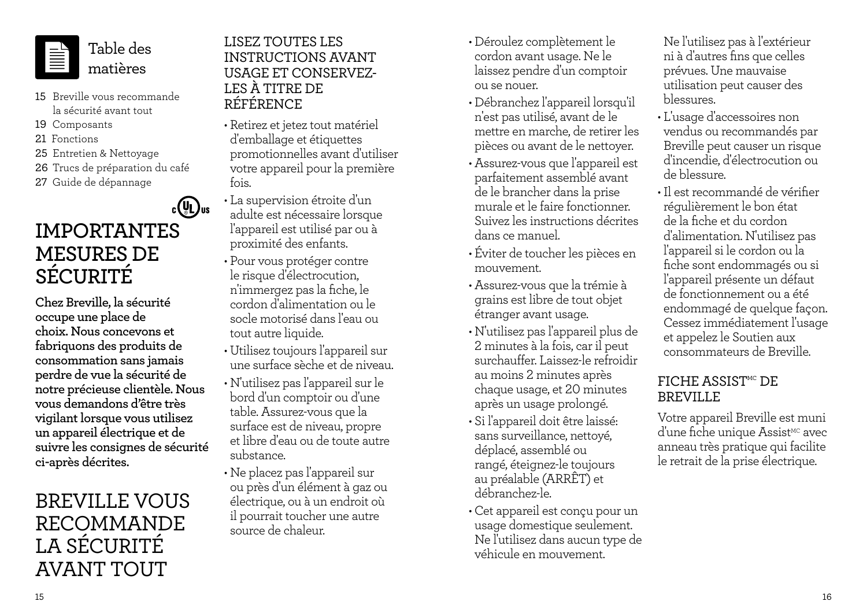

Table des matières

- 15 Breville vous recommande la sécurité avant tout
- 19 Composants
- 21 Fonctions
- 25 Entretien & Nettoyage
- 26 Trucs de préparation du café
- 27 Guide de dépannage

## $c(\mathbf{U})$ us **IMPORTANTES MESURES DE SÉCURITÉ**

**Chez Breville, la sécurité occupe une place de choix. Nous concevons et fabriquons des produits de consommation sans jamais perdre de vue la sécurité de notre précieuse clientèle. Nous vous demandons d'être très vigilant lorsque vous utilisez un appareil électrique et de suivre les consignes de sécurité ci-après décrites.**

## BREVILLE VOUS RECOMMANDE LA SÉCURITÉ AVANT TOUT

### LISEZ TOUTES LES INSTRUCTIONS AVANT USAGE ET CONSERVEZ-LES À TITRE DE RÉFÉRENCE

- Retirez et jetez tout matériel d'emballage et étiquettes promotionnelles avant d'utiliser votre appareil pour la première fois.
- La supervision étroite d'un adulte est nécessaire lorsque l'appareil est utilisé par ou à proximité des enfants.
- Pour vous protéger contre le risque d'électrocution, n'immergez pas la fiche, le cordon d'alimentation ou le socle motorisé dans l'eau ou tout autre liquide.
- Utilisez toujours l'appareil sur une surface sèche et de niveau. • N'utilisez pas l'appareil sur le bord d'un comptoir ou d'une table. Assurez-vous que la surface est de niveau, propre et libre d'eau ou de toute autre substance.
- Ne placez pas l'appareil sur ou près d'un élément à gaz ou électrique, ou à un endroit où il pourrait toucher une autre source de chaleur.
- Déroulez complètement le cordon avant usage. Ne le laissez pendre d'un comptoir ou se nouer.
- Débranchez l'appareil lorsqu'il n'est pas utilisé, avant de le mettre en marche, de retirer les pièces ou avant de le nettoyer.
- Assurez-vous que l'appareil est parfaitement assemblé avant de le brancher dans la prise murale et le faire fonctionner. Suivez les instructions décrites dans ce manuel.
- Éviter de toucher les pièces en mouvement.
- Assurez-vous que la trémie à grains est libre de tout objet étranger avant usage.
- N'utilisez pas l'appareil plus de 2 minutes à la fois, car il peut surchauffer. Laissez-le refroidir au moins 2 minutes après chaque usage, et 20 minutes après un usage prolongé.
- Si l'appareil doit être laissé: sans surveillance, nettoyé, déplacé, assemblé ou rangé, éteignez-le toujours au préalable (ARRÊT) et débranchez-le.
- Cet appareil est conçu pour un usage domestique seulement. Ne l'utilisez dans aucun type de véhicule en mouvement.

Ne l'utilisez pas à l'extérieur ni à d'autres fins que celles prévues. Une mauvaise utilisation peut causer des blessures.

- L'usage d'accessoires non vendus ou recommandés par Breville peut causer un risque d'incendie, d'électrocution ou de blessure.
- •Il est recommandé de vérifier régulièrement le bon état de la fiche et du cordon d'alimentation. N'utilisez pas l'appareil si le cordon ou la fiche sont endommagés ou si l'appareil présente un défaut de fonctionnement ou a été endommagé de quelque façon. Cessez immédiatement l'usage et appelez le Soutien aux consommateurs de Breville.

## FICHE ASSIST<sup>MC</sup> DF BREVILLE

Votre appareil Breville est muni d'une fiche unique Assist<sup>MC</sup> avec anneau très pratique qui facilite le retrait de la prise électrique.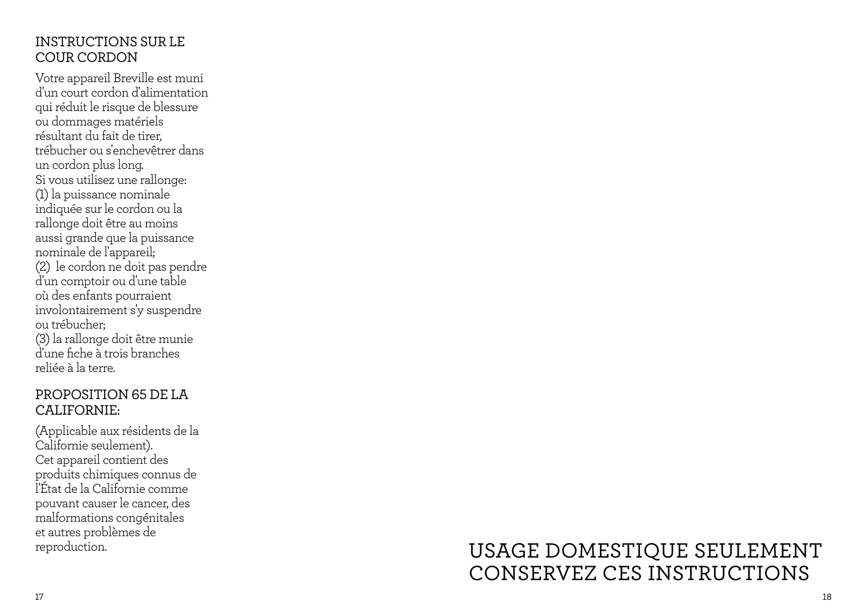## INSTRUCTIONS SUR LE COUR CORDON

Votre appareil Breville est muni d'un court cordon d'alimentation qui réduit le risque de blessure ou dommages matériels résultant du fait de tirer, trébucher ou s'enchevêtrer dans un cordon plus long. Si vous utilisez une rallonge: (1) la puissance nominale indiquée sur le cordon ou la rallonge doit être au moins aussi grande que la puissance nominale de l'appareil; (2) le cordon ne doit pas pendre d'un comptoir ou d'une table où des enfants pourraient involontairement s'y suspendre ou trébucher; (3) la rallonge doit être munie d'une fiche à trois branches reliée à la terre.

### PROPOSITION 65 DE LA CALIFORNIE:

(Applicable aux résidents de la Californie seulement). Cet appareil contient des produits chimiques connus de l'État de la Californie comme pouvant causer le cancer, des malformations congénitales et autres problèmes de

## reproduction. USAGE DOMESTIQUE SEULEMENT CONSERVEZ CES INSTRUCTIONS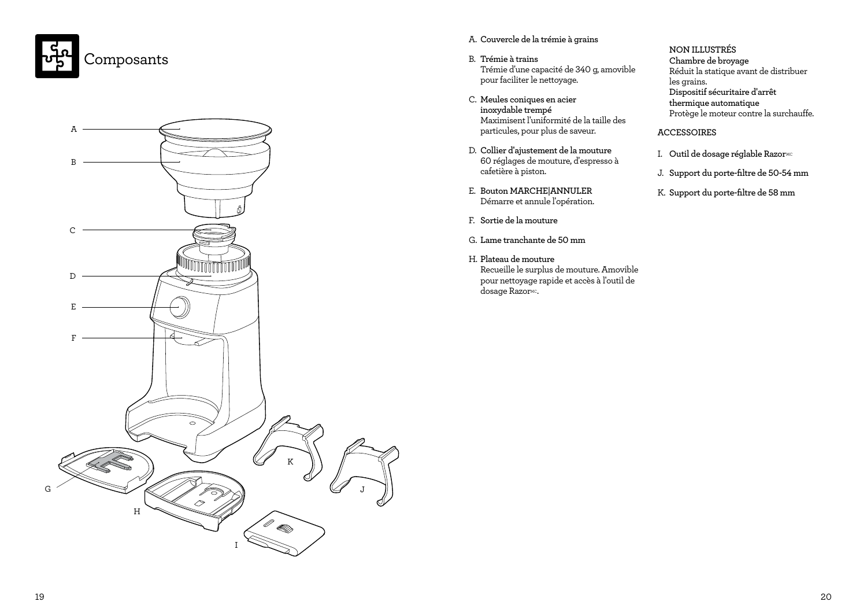



### A. **Couvercle de la trémie à grains**

- B. **Trémie à trains** Trémie d'une capacité de 340 g, amovible pour faciliter le nettoyage.
- C. **Meules coniques en acier inoxydable trempé** Maximisent l'uniformité de la taille des particules, pour plus de saveur.
- D. **Collier d'ajustement de la mouture** 60 réglages de mouture, d'espresso à cafetière à piston.
- E. **Bouton MARCHE|ANNULER** Démarre et annule l'opération.
- F. **Sortie de la mouture**
- G. **Lame tranchante de 50 mm**
- H. **Plateau de mouture** Recueille le surplus de mouture. Amovible pour nettoyage rapide et accès à l'outil de dosage RazorMc.

### **NON ILLUSTRÉS**

**Chambre de broyage** Réduit la statique avant de distribuer les grains. **Dispositif sécuritaire d'arrêt thermique automatique** Protège le moteur contre la surchauffe.

#### **ACCESSOIRES**

- I. Outil de dosage réglable Razor<sup>MC</sup>
- J. **Support du porte-filtre de 50-54 mm**
- K. **Support du porte-filtre de 58 mm**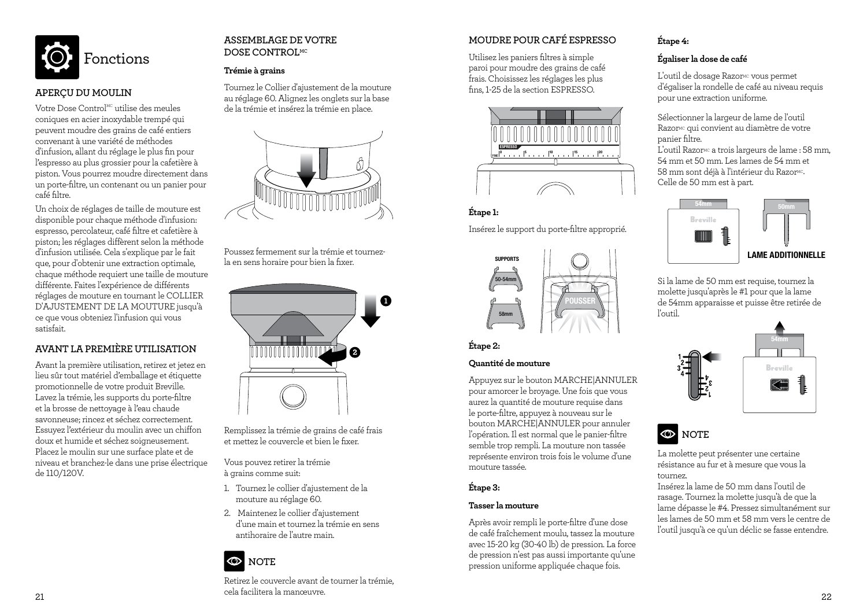

### **APERÇU DU MOULIN**

Votre Dose Control $^{MC}$  utilise des meules coniques en acier inoxydable trempé qui peuvent moudre des grains de café entiers convenant à une variété de méthodes d'infusion, allant du réglage le plus fin pour l'espresso au plus grossier pour la cafetière à piston. Vous pourrez moudre directement dans un porte-filtre, un contenant ou un panier pour café filtre.

Un choix de réglages de taille de mouture est disponible pour chaque méthode d'infusion: espresso, percolateur, café filtre et cafetière à piston; les réglages diffèrent selon la méthode d'infusion utilisée. Cela s'explique par le fait que, pour d'obtenir une extraction optimale, chaque méthode requiert une taille de mouture différente. Faites l'expérience de différents réglages de mouture en tournant le COLLIER D'AJUSTEMENT DE LA MOUTURE jusqu'à ce que vous obteniez l'infusion qui vous satisfait.

### **AVANT LA PREMIÈRE UTILISATION**

Avant la première utilisation, retirez et jetez en lieu sûr tout matériel d'emballage et étiquette promotionnelle de votre produit Breville. Lavez la trémie, les supports du porte-filtre et la brosse de nettoyage à l'eau chaude savonneuse; rincez et séchez correctement. Essuyez l'extérieur du moulin avec un chiffon doux et humide et séchez soigneusement. Placez le moulin sur une surface plate et de niveau et branchez-le dans une prise électrique de 110/120V.

### **ASSEMBLAGE DE VOTRE DOSE CONTROLMC**

### **Trémie à grains**

Tournez le Collier d'ajustement de la mouture au réglage 60. Alignez les onglets sur la base de la trémie et insérez la trémie en place.



Poussez fermement sur la trémie et tournezla en sens horaire pour bien la fixer.



Remplissez la trémie de grains de café frais et mettez le couvercle et bien le fixer.

Vous pouvez retirer la trémie à grains comme suit:

- 1. Tournez le collier d'ajustement de la mouture au réglage 60.
- 2. Maintenez le collier d'ajustement d'une main et tournez la trémie en sens antihoraire de l'autre main.

## **NOTE**

21 Cela la linanceuvie. Retirez le couvercle avant de tourner la trémie, cela facilitera la manœuvre.

### **MOUDRE POUR CAFÉ ESPRESSO**

Utilisez les paniers filtres à simple paroi pour moudre des grains de café frais. Choisissez les réglages les plus fins, 1-25 de la section ESPRESSO.



### **Étape 1:**

Insérez le support du porte-filtre approprié.



### **Étape 2:**

### **Quantité de mouture**

Appuyez sur le bouton MARCHE|ANNULER pour amorcer le broyage. Une fois que vous aurez la quantité de mouture requise dans le porte-filtre, appuyez à nouveau sur le bouton MARCHE|ANNULER pour annuler l'opération. Il est normal que le panier-filtre semble trop rempli. La mouture non tassée représente environ trois fois le volume d'une mouture tassée.

### **Étape 3:**

### **Tasser la mouture**

Après avoir rempli le porte-filtre d'une dose de café fraîchement moulu, tassez la mouture avec 15-20 kg (30-40 lb) de pression. La force de pression n'est pas aussi importante qu'une pression uniforme appliquée chaque fois.

### **Étape 4:**

### **Égaliser la dose de café**

L'outil de dosage Razor<sup>Mc</sup> vous permet d'égaliser la rondelle de café au niveau requis pour une extraction uniforme.

Sélectionner la largeur de lame de l'outil Razor<sup>Mc</sup> qui convient au diamètre de votre panier filtre. L'outil Razor<sup>Mc</sup> a trois largeurs de lame : 58 mm, 54 mm et 50 mm. Les lames de 54 mm et 58 mm sont déjà à l'intérieur du Razor<sup>MC</sup>.

Celle de 50 mm est à part.



Si la lame de 50 mm est requise, tournez la molette jusqu'après le #1 pour que la lame de 54mm apparaisse et puisse être retirée de l'outil.



## **NOTE**

La molette peut présenter une certaine résistance au fur et à mesure que vous la tournez.

Insérez la lame de 50 mm dans l'outil de rasage. Tournez la molette jusqu'à de que la lame dépasse le #4. Pressez simultanément sur les lames de 50 mm et 58 mm vers le centre de l'outil jusqu'à ce qu'un déclic se fasse entendre.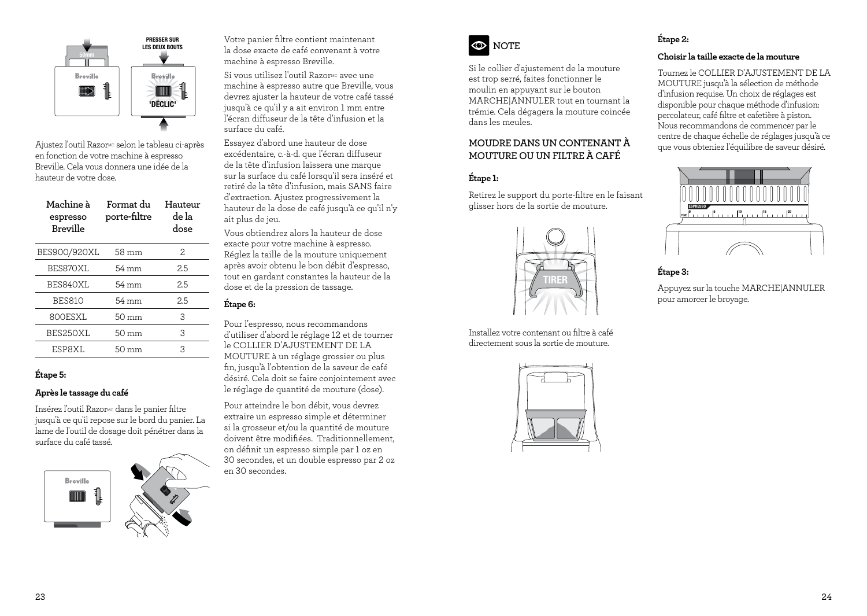

Ajustez l'outil RazorMC selon le tableau ci-après en fonction de votre machine à espresso Breville. Cela vous donnera une idée de la hauteur de votre dose.

| porte-filtre    | Hauteur<br>de la<br>dose |
|-----------------|--------------------------|
| 58 mm           | 2.                       |
| 54 mm           | 2.5                      |
| 54 mm           | 2.5                      |
| 54 mm           | 2.5                      |
| $50 \text{ mm}$ | 3                        |
| $50 \text{ mm}$ | 3                        |
| $50 \text{ mm}$ | 3                        |
|                 | Format du                |

### **Étape 5:**

### **Après le tassage du café**

Insérez l'outil Razor<sup>Mc</sup> dans le panier filtre jusqu'à ce qu'il repose sur le bord du panier. La lame de l'outil de dosage doit pénétrer dans la surface du café tassé.



Votre panier filtre contient maintenant la dose exacte de café convenant à votre machine à espresso Breville.

Si vous utilisez l'outil Razor<sup>Mc</sup> avec une machine à espresso autre que Breville, vous devrez ajuster la hauteur de votre café tassé jusqu'à ce qu'il y a ait environ 1 mm entre l'écran diffuseur de la tête d'infusion et la surface du café.

Essayez d'abord une hauteur de dose excédentaire, c.-à-d. que l'écran diffuseur de la tête d'infusion laissera une marque sur la surface du café lorsqu'il sera inséré et retiré de la tête d'infusion, mais SANS faire d'extraction. Ajustez progressivement la hauteur de la dose de café jusqu'à ce qu'il n'y ait plus de jeu.

Vous obtiendrez alors la hauteur de dose exacte pour votre machine à espresso. Réglez la taille de la mouture uniquement après avoir obtenu le bon débit d'espresso, tout en gardant constantes la hauteur de la dose et de la pression de tassage.

### **Étape 6:**

Pour l'espresso, nous recommandons d'utiliser d'abord le réglage 12 et de tourner le COLLIER D'AJUSTEMENT DE LA MOUTURE à un réglage grossier ou plus fin, jusqu'à l'obtention de la saveur de café désiré. Cela doit se faire conjointement avec le réglage de quantité de mouture (dose).

Pour atteindre le bon débit, vous devrez extraire un espresso simple et déterminer si la grosseur et/ou la quantité de mouture doivent être modifiées. Traditionnellement, on définit un espresso simple par 1 oz en 30 secondes, et un double espresso par 2 oz en 30 secondes.



Si le collier d'ajustement de la mouture est trop serré, faites fonctionner le moulin en appuyant sur le bouton MARCHE|ANNULER tout en tournant la trémie. Cela dégagera la mouture coincée dans les meules.

### **MOUDRE DANS UN CONTENANT À MOUTURE OU UN FILTRE À CAFÉ**

### **Étape 1:**

Retirez le support du porte-filtre en le faisant glisser hors de la sortie de mouture.



Installez votre contenant ou filtre à café directement sous la sortie de mouture.



### **Étape 2:**

### **Choisir la taille exacte de la mouture**

Tournez le COLLIER D'AJUSTEMENT DE LA MOUTURE jusqu'à la sélection de méthode d'infusion requise. Un choix de réglages est disponible pour chaque méthode d'infusion: percolateur, café filtre et cafetière à piston. Nous recommandons de commencer par le centre de chaque échelle de réglages jusqu'à ce que vous obteniez l'équilibre de saveur désiré.



### **Étape 3:**

Appuyez sur la touche MARCHE|ANNULER pour amorcer le broyage.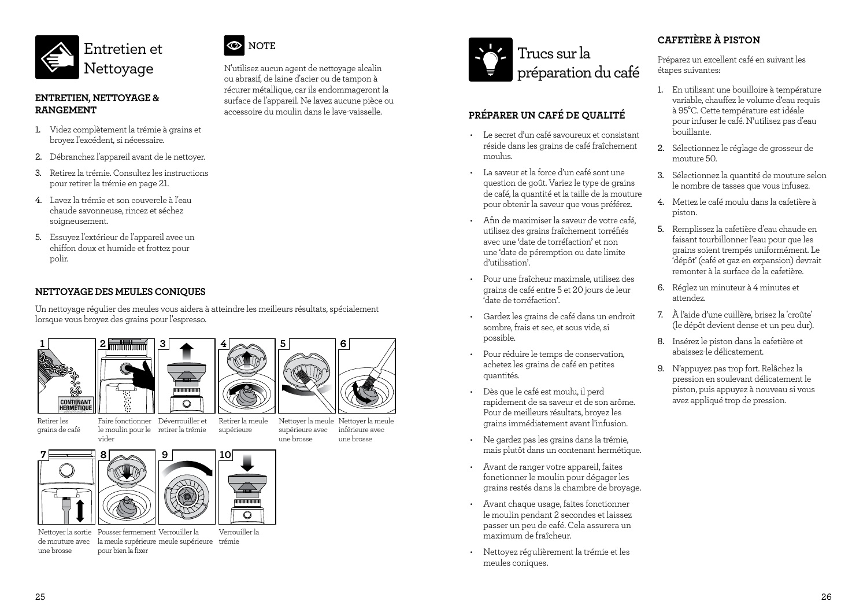



- 1. Videz complètement la trémie à grains et broyez l'excédent, si nécessaire.
- 2. Débranchez l'appareil avant de le nettoyer.
- 3. Retirez la trémie. Consultez les instructions pour retirer la trémie en page 21.
- 4. Lavez la trémie et son couvercle à l'eau chaude savonneuse, rincez et séchez soigneusement.
- 5. Essuyez l'extérieur de l'appareil avec un chiffon doux et humide et frottez pour polir.

### **NETTOYAGE DES MEULES CONIQUES**

Un nettoyage régulier des meules vous aidera à atteindre les meilleurs résultats, spécialement lorsque vous broyez des grains pour l'espresso.



grains de café







**NOTE**

N'utilisez aucun agent de nettoyage alcalin ou abrasif, de laine d'acier ou de tampon à récurer métallique, car ils endommageront la surface de l'appareil. Ne lavez aucune pièce ou accessoire du moulin dans le lave-vaisselle.

Faire fonctionner Déverrouiller et le moulin pour le retirer la trémie supérieure

Nettoyer la meule Nettoyer la meule une brosse

supérieure avec inférieure avec une brosse

**6**



### **PRÉPARER UN CAFÉ DE QUALITÉ**

- Le secret d'un café savoureux et consistant réside dans les grains de café fraîchement moulus.
- La saveur et la force d'un café sont une question de goût. Variez le type de grains de café, la quantité et la taille de la mouture pour obtenir la saveur que vous préférez.
- Afin de maximiser la saveur de votre café, utilisez des grains fraîchement torréfiés avec une 'date de torréfaction' et non une 'date de péremption ou date limite d'utilisation'.
- Pour une fraîcheur maximale, utilisez des grains de café entre 5 et 20 jours de leur 'date de torréfaction'.
- Gardez les grains de café dans un endroit sombre, frais et sec, et sous vide, si possible.
- Pour réduire le temps de conservation, achetez les grains de café en petites quantités.
- Dès que le café est moulu, il perd rapidement de sa saveur et de son arôme. Pour de meilleurs résultats, broyez les grains immédiatement avant l'infusion.
- Ne gardez pas les grains dans la trémie, mais plutôt dans un contenant hermétique.
- Avant de ranger votre appareil, faites fonctionner le moulin pour dégager les grains restés dans la chambre de broyage.
- Avant chaque usage, faites fonctionner le moulin pendant 2 secondes et laissez passer un peu de café. Cela assurera un maximum de fraîcheur.
- Nettoyez régulièrement la trémie et les meules coniques.

### **CAFETIÈRE À PISTON**

Préparez un excellent café en suivant les étapes suivantes:

- 1. En utilisant une bouilloire à température variable, chauffez le volume d'eau requis à 95°C. Cette température est idéale pour infuser le café. N'utilisez pas d'eau bouillante.
- 2. Sélectionnez le réglage de grosseur de mouture 50.
- 3. Sélectionnez la quantité de mouture selon le nombre de tasses que vous infusez.
- 4. Mettez le café moulu dans la cafetière à piston.
- 5. Remplissez la cafetière d'eau chaude en faisant tourbillonner l'eau pour que les grains soient trempés uniformément. Le 'dépôt' (café et gaz en expansion) devrait remonter à la surface de la cafetière.
- 6. Réglez un minuteur à 4 minutes et attendez.
- 7. À l'aide d'une cuillère, brisez la 'croûte' (le dépôt devient dense et un peu dur).
- 8. Insérez le piston dans la cafetière et abaissez-le délicatement.
- 9. N'appuyez pas trop fort. Relâchez la pression en soulevant délicatement le piston, puis appuyez à nouveau si vous avez appliqué trop de pression.





vider

**2**





la meule supérieure meule supérieure trémie pour bien la fixer

**9**